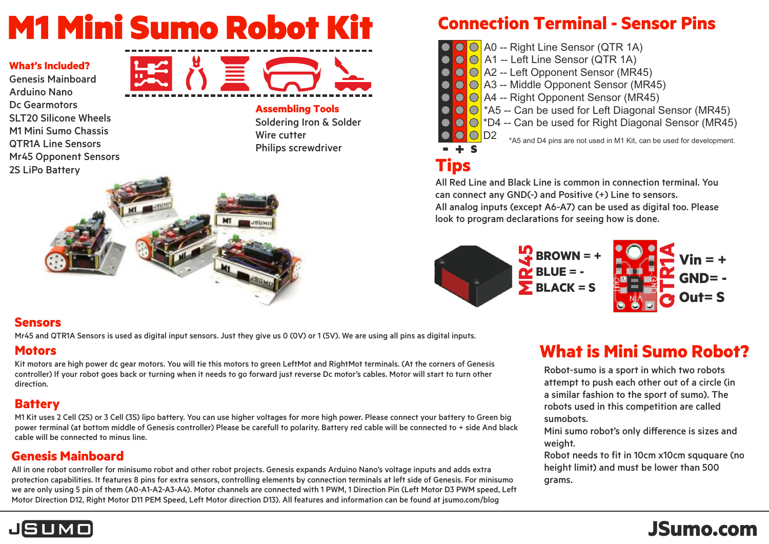# M1 Mini Sumo Robot Kit

#### **What's Included?**

Genesis Mainboard Arduno Nano Dc Gearmotors **SLT20 Silicone Wheels** M1 Mini Sumo Chassis **OTR1A Line Sensors** Mr45 Opponent Sensors 2S LiPo Battery



**Assembling Tools** Soldering Iron & Solder Wire cutter Philips screwdriver



#### **Sensors**

Mr45 and QTR1A Sensors is used as digital input sensors. Just they give us 0 (OV) or 1 (5V). We are using all pins as digital inputs.

#### **Motors**

Kit motors are high power dc gear motors. You will tie this motors to green LeftMot and RightMot terminals. (At the corners of Genesis controller) If your robot goes back or turning when it needs to go forward just reverse Dc motor's cables. Motor will start to turn other direction.

#### **Battery**

M1 Kit uses 2 Cell (2S) or 3 Cell (3S) lipo battery. You can use higher voltages for more high power. Please connect your battery to Green big power terminal (at bottom middle of Genesis controller) Please be carefull to polarity. Battery red cable will be connected to + side And black cable will be connected to minus line.

#### **Genesis Mainboard**

All in one robot controller for minisumo robot and other robot projects. Genesis expands Arduino Nano's voltage inputs and adds extra protection capabilities. It features 8 pins for extra sensors, controlling elements by connection terminals at left side of Genesis. For minisumo we are only using 5 pin of them (A0-A1-A2-A3-A4). Motor channels are connected with 1 PWM, 1 Direction Pin (Left Motor D3 PWM speed, Left Motor Direction D12, Right Motor D11 PEM Speed, Left Motor direction D13). All features and information can be found at jsumo.com/blog

### **Connection Terminal - Sensor Pins**

- $\bigcirc$  A0 -- Right Line Sensor (QTR 1A)
- $\bigcirc$   $\bigcirc$  A1 -- Left Line Sensor (QTR 1A)
- **OO** A2 -- Left Opponent Sensor (MR45)
- $\bigcirc$  A3 -- Middle Opponent Sensor (MR45)
- A4 -- Rght Opponent Sensor (MR45)
- $\bigcirc$   $\bigcirc$  \*A5 -- Can be used for Left Diagonal Sensor (MR45)
- $\bigcirc$   $\bigcirc$  \*D4 -- Can be used for Right Diagonal Sensor (MR45)  $\bigcirc$ D2

\*A5 and D4 pins are not used in M1 Kit, can be used for development.

# **Tips**

- + <sup>S</sup>

All Red Line and Black Line is common in connection terminal. You can connect any  $GND(-)$  and Positive  $(+)$  Line to sensors. All analog inputs (except A6-A7) can be used as digital too. Please look to program declarations for seeing how is done.



# **What is Mini Sumo Robot?**

Robot-sumo is a sport in which two robots attempt to push each other out of a circle (in a similar fashion to the sport of sumo). The robots used in this competition are called sumobots.

Mini sumo robot's only difference is sizes and weight.

Robot needs to fit in 10cm x10cm sququare (no height limit) and must be lower than 500 grams.